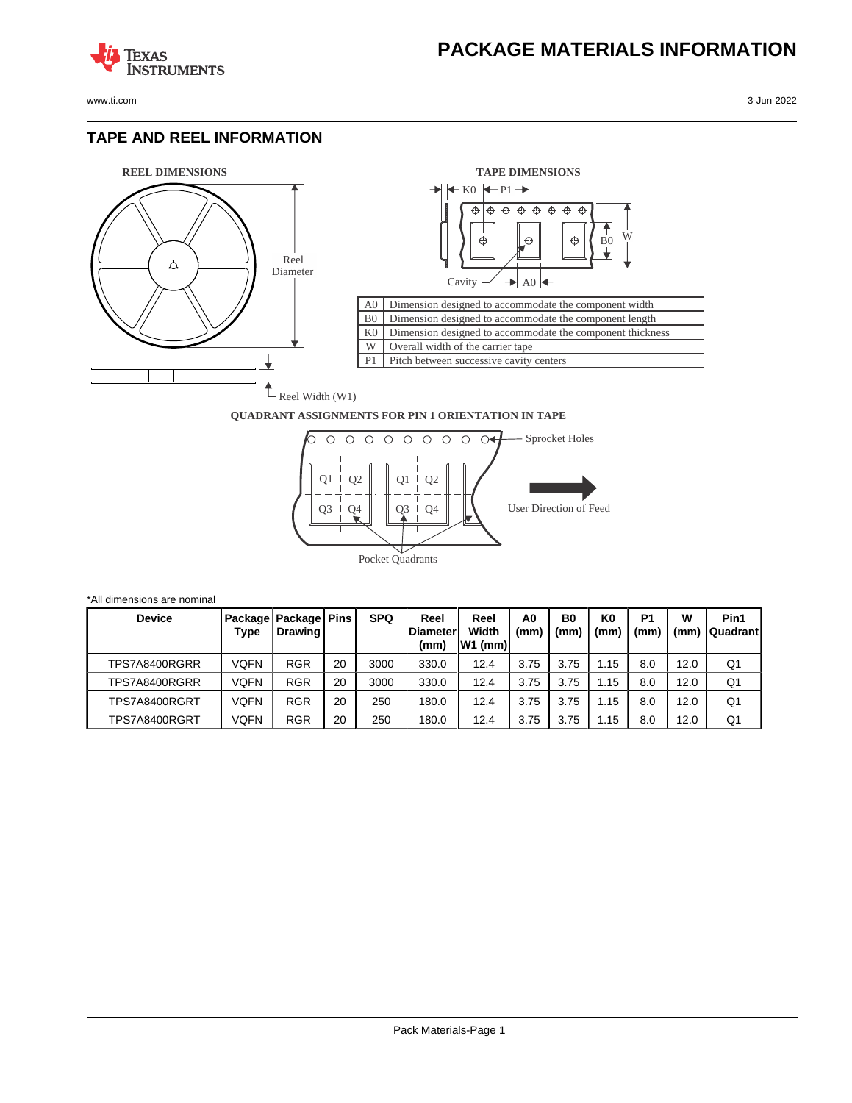

**TEXAS** 

## **TAPE AND REEL INFORMATION**

**STRUMENTS** 



\*All dimensions are nominal



## **QUADRANT ASSIGNMENTS FOR PIN 1 ORIENTATION IN TAPE**



| <b>Device</b> | Type | Package   Package   Pins<br><b>Drawing</b> |    | <b>SPQ</b> | Reel<br>lDiameter<br>(mm) | Reel<br>Width<br>W1 (mm) | A0<br>(mm) | B <sub>0</sub><br>(mm) | K <sub>0</sub><br>(mm | P <sub>1</sub><br>(mm | W<br>(mm | Pin1<br><b>Quadrant</b> |
|---------------|------|--------------------------------------------|----|------------|---------------------------|--------------------------|------------|------------------------|-----------------------|-----------------------|----------|-------------------------|
| TPS7A8400RGRR | VQFN | <b>RGR</b>                                 | 20 | 3000       | 330.0                     | 12.4                     | 3.75       | 3.75                   | .15                   | 8.0                   | 12.0     | Q1                      |
| TPS7A8400RGRR | VQFN | <b>RGR</b>                                 | 20 | 3000       | 330.0                     | 12.4                     | 3.75       | 3.75                   | l.15                  | 8.0                   | 12.0     | Q1                      |
| TPS7A8400RGRT | VQFN | <b>RGR</b>                                 | 20 | 250        | 180.0                     | 12.4                     | 3.75       | 3.75                   | .15                   | 8.0                   | 12.0     | Q <sub>1</sub>          |
| TPS7A8400RGRT | VQFN | <b>RGR</b>                                 | 20 | 250        | 180.0                     | 12.4                     | 3.75       | 3.75                   | .15                   | 8.0                   | 12.0     | Q <sub>1</sub>          |